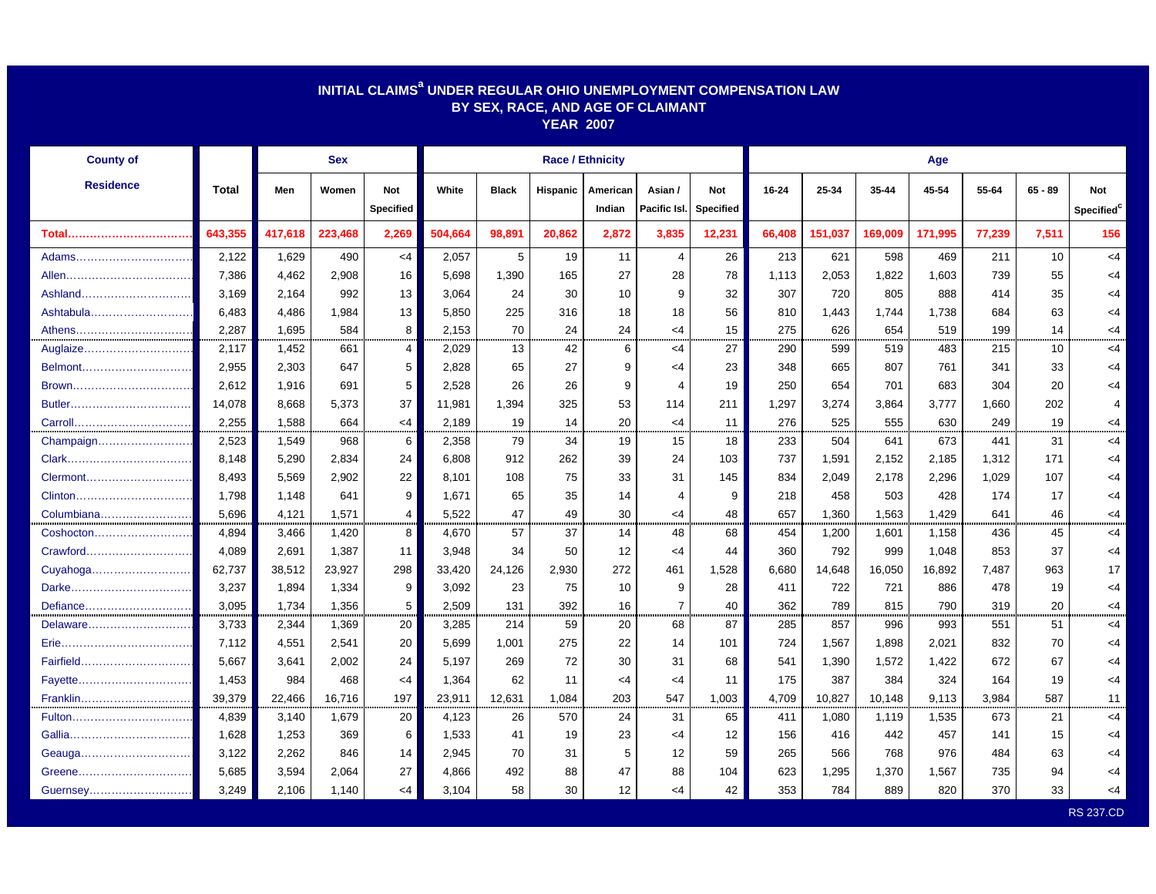| INITIAL CLAIMS <sup>a</sup> UNDER REGULAR OHIO UNEMPLOYMENT COMPENSATION LAW<br>BY SEX, RACE, AND AGE OF CLAIMANT<br><b>YEAR 2007</b> |         |         |            |                                |                         |              |          |                    |                         |                         |        |         |         |         |        |           |                               |  |  |  |
|---------------------------------------------------------------------------------------------------------------------------------------|---------|---------|------------|--------------------------------|-------------------------|--------------|----------|--------------------|-------------------------|-------------------------|--------|---------|---------|---------|--------|-----------|-------------------------------|--|--|--|
| <b>County of</b>                                                                                                                      |         |         | <b>Sex</b> |                                | <b>Race / Ethnicity</b> |              |          |                    |                         |                         |        | Age     |         |         |        |           |                               |  |  |  |
| <b>Residence</b>                                                                                                                      | Total   | Men     | Women      | <b>Not</b><br><b>Specified</b> | White                   | <b>Black</b> | Hispanic | American<br>Indian | Asian /<br>Pacific Isl. | Not<br><b>Specified</b> | 16-24  | 25-34   | 35-44   | 45-54   | 55-64  | $65 - 89$ | Not<br>Specified <sup>C</sup> |  |  |  |
| Total                                                                                                                                 | 643,355 | 417,618 | 223,468    | 2,269                          | 504,664                 | 98,891       | 20,862   | 2,872              | 3,835                   | 12,231                  | 66,408 | 151,037 | 169,009 | 171,995 | 77,239 | 7,511     | 156                           |  |  |  |
| Adams                                                                                                                                 | 2,122   | 1,629   | 490        | $<$ 4                          | 2,057                   | 5            | 19       | 11                 | $\overline{4}$          | 26                      | 213    | 621     | 598     | 469     | 211    | 10        | <4                            |  |  |  |
|                                                                                                                                       | 7,386   | 4,462   | 2,908      | 16                             | 5,698                   | 1,390        | 165      | 27                 | 28                      | 78                      | 1,113  | 2,053   | 1,822   | 1,603   | 739    | 55        | <4                            |  |  |  |
| Ashland                                                                                                                               | 3.169   | 2.164   | 992        | 13                             | 3.064                   | 24           | 30       | 10                 | 9                       | 32                      | 307    | 720     | 805     | 888     | 414    | 35        | <4                            |  |  |  |
| Ashtabula                                                                                                                             | 6,483   | 4,486   | 1,984      | 13                             | 5,850                   | 225          | 316      | 18                 | 18                      | 56                      | 810    | 1,443   | 1,744   | 1,738   | 684    | 63        | $<$ 4                         |  |  |  |
| Athens                                                                                                                                | 2,287   | 1,695   | 584        | 8                              | 2,153                   | 70           | 24       | 24                 | $<$ 4                   | 15                      | 275    | 626     | 654     | 519     | 199    | 14        | <4                            |  |  |  |
| Auglaize                                                                                                                              | 2,117   | 1,452   | 661        | $\overline{4}$                 | 2,029                   | 13           | 42       | 6                  | $<$ 4                   | 27                      | 290    | 599     | 519     | 483     | 215    | 10        | <4                            |  |  |  |
| Belmont                                                                                                                               | 2,955   | 2,303   | 647        | 5                              | 2,828                   | 65           | 27       | 9                  | $<$ 4                   | 23                      | 348    | 665     | 807     | 761     | 341    | 33        | <4                            |  |  |  |
| Brown                                                                                                                                 | 2.612   | 1,916   | 691        | 5                              | 2.528                   | 26           | 26       | 9                  | 4                       | 19                      | 250    | 654     | 701     | 683     | 304    | 20        | <4                            |  |  |  |
|                                                                                                                                       | 14,078  | 8,668   | 5,373      | 37                             | 11,981                  | 1,394        | 325      | 53                 | 114                     | 211                     | 1,297  | 3.274   | 3,864   | 3,777   | 1,660  | 202       | $\overline{4}$                |  |  |  |
|                                                                                                                                       | 2,255   | 1,588   | 664        | $<$ 4                          | 2,189                   | 19           | 14       | 20                 | $<$ 4                   | 11                      | 276    | 525     | 555     | 630     | 249    | 19        | <4                            |  |  |  |
| Champaign                                                                                                                             | 2,523   | 1,549   | 968        | 6                              | 2,358                   | 79           | 34       | 19                 | 15                      | 18                      | 233    | 504     | 641     | 673     | 441    | 31        | <4                            |  |  |  |
|                                                                                                                                       | 8,148   | 5,290   | 2,834      | 24                             | 6,808                   | 912          | 262      | 39                 | 24                      | 103                     | 737    | 1,591   | 2,152   | 2,185   | 1,312  | 171       | <4                            |  |  |  |
| Clermont                                                                                                                              | 8,493   | 5,569   | 2,902      | 22                             | 8,101                   | 108          | 75       | 33                 | 31                      | 145                     | 834    | 2,049   | 2,178   | 2,296   | 1,029  | 107       | <4                            |  |  |  |
| Clinton                                                                                                                               | 1,798   | 1,148   | 641        | 9                              | 1,671                   | 65           | 35       | 14                 | 4                       | 9                       | 218    | 458     | 503     | 428     | 174    | 17        | <4                            |  |  |  |
| Columbiana                                                                                                                            | 5,696   | 4,121   | 1,571      | $\overline{4}$                 | 5.522                   | 47           | 49       | 30                 | <4                      | 48                      | 657    | 1,360   | 1,563   | 1,429   | 641    | 46        | <4                            |  |  |  |
| Coshocton                                                                                                                             | 4.894   | 3.466   | 1,420      | 8                              | 4.670                   | 57           | 37       | 14                 | 48                      | 68                      | 454    | 1,200   | 1,601   | 1,158   | 436    | 45        | $<$ 4                         |  |  |  |
| Crawford                                                                                                                              | 4,089   | 2,691   | 1,387      | 11                             | 3,948                   | 34           | 50       | 12                 | $<$ 4                   | 44                      | 360    | 792     | 999     | 1,048   | 853    | 37        | $<$ 4                         |  |  |  |
| Cuyahoga                                                                                                                              | 62,737  | 38,512  | 23,927     | 298                            | 33,420                  | 24,126       | 2,930    | 272                | 461                     | 1,528                   | 6,680  | 14,648  | 16,050  | 16,892  | 7,487  | 963       | 17                            |  |  |  |
| Darke.                                                                                                                                | 3,237   | 1,894   | 1,334      | 9                              | 3,092                   | 23           | 75       | 10                 | 9                       | 28                      | 411    | 722     | 721     | 886     | 478    | 19        | $\leq 4$                      |  |  |  |
| Defiance                                                                                                                              | 3,095   | 1,734   | 1,356      | 5                              | 2,509                   | 131          | 392      | 16                 | $\overline{7}$          | 40                      | 362    | 789     | 815     | 790     | 319    | 20        | <4                            |  |  |  |
| Delaware                                                                                                                              | 3,733   | 2,344   | 1,369      | 20                             | 3,285                   | 214          | 59       | 20                 | 68                      | 87                      | 285    | 857     | 996     | 993     | 551    | 51        | $<$ 4                         |  |  |  |
|                                                                                                                                       | 7,112   | 4,551   | 2,541      | 20                             | 5,699                   | 1,001        | 275      | 22                 | 14                      | 101                     | 724    | 1,567   | 1,898   | 2,021   | 832    | 70        | <4                            |  |  |  |
|                                                                                                                                       | 5,667   | 3,641   | 2,002      | 24                             | 5,197                   | 269          | 72       | 30                 | 31                      | 68                      | 541    | 1,390   | 1,572   | 1,422   | 672    | 67        | <4                            |  |  |  |
| Fayette                                                                                                                               | 1,453   | 984     | 468        | $<$ 4                          | 1,364                   | 62           | 11       | $\leq 4$           | $<$ 4                   | 11                      | 175    | 387     | 384     | 324     | 164    | 19        | $\leq$ 4                      |  |  |  |
| Franklin                                                                                                                              | 39,379  | 22,466  | 16,716     | 197                            | 23,911                  | 12,631       | 1,084    | 203                | 547                     | 1,003                   | 4,709  | 10,827  | 10,148  | 9,113   | 3,984  | 587       | 11                            |  |  |  |
| Fulton                                                                                                                                | 4,839   | 3,140   | 1,679      | 20                             | 4,123                   | 26           | 570      | 24                 | 31                      | 65                      | 411    | 1,080   | 1,119   | 1,535   | 673    | 21        | $<$ 4                         |  |  |  |
|                                                                                                                                       | 1,628   | 1,253   | 369        | 6                              | 1,533                   | 41           | 19       | 23                 | <4                      | 12                      | 156    | 416     | 442     | 457     | 141    | 15        | $<$ 4                         |  |  |  |
| Geauga                                                                                                                                | 3,122   | 2,262   | 846        | 14                             | 2,945                   | 70           | 31       | 5                  | $12 \overline{ }$       | 59                      | 265    | 566     | 768     | 976     | 484    | 63        | $<$ 4                         |  |  |  |
| Greene                                                                                                                                | 5,685   | 3,594   | 2,064      | 27                             | 4,866                   | 492          | 88       | 47                 | 88                      | 104                     | 623    | 1,295   | 1,370   | 1,567   | 735    | 94        | <4                            |  |  |  |
| Guernsey                                                                                                                              | 3,249   | 2,106   | 1,140      | <4                             | 3,104                   | 58           | 30       | 12                 | $<$ 4                   | 42                      | 353    | 784     | 889     | 820     | 370    | 33        | <4                            |  |  |  |

RS 237.CD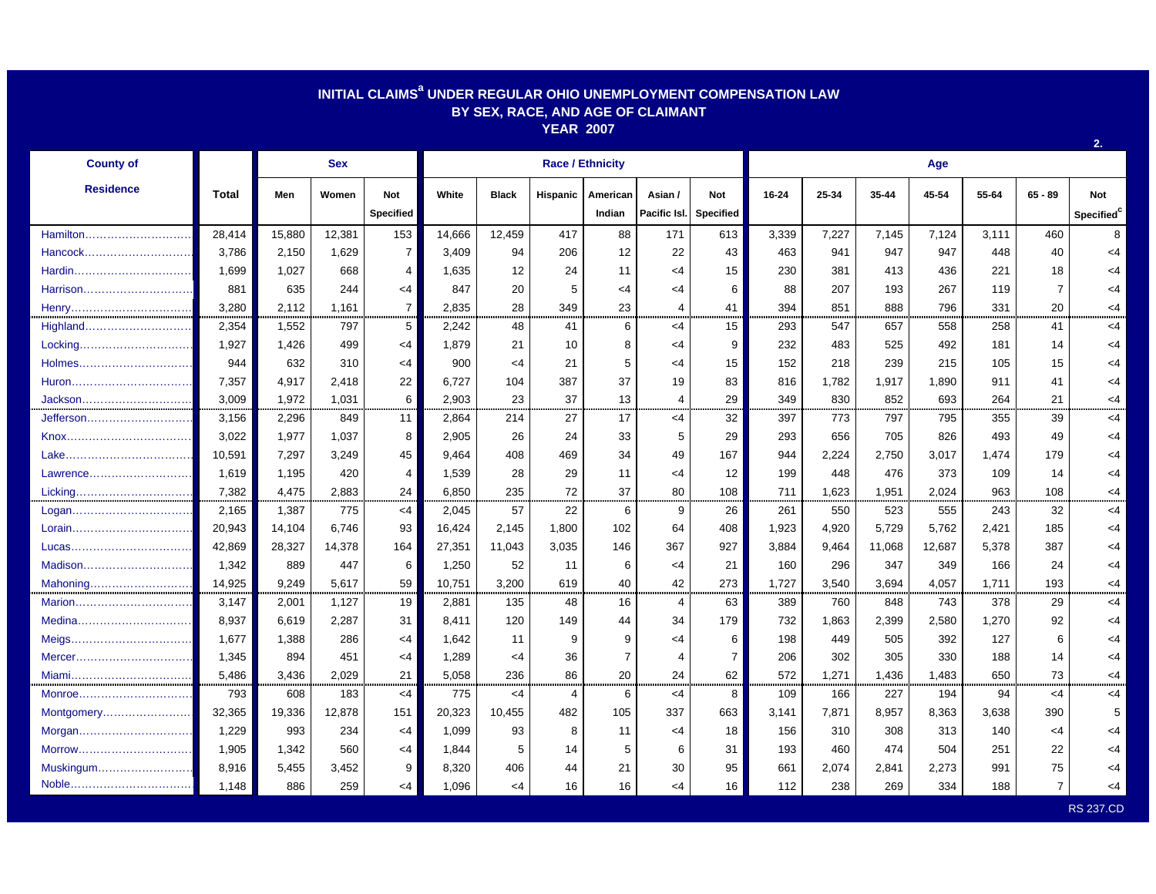## **INITIAL CLAIMSa UNDER REGULAR OHIO UNEMPLOYMENT COMPENSATION LAW BY SEX, RACE, AND AGE OF CLAIMANT YEAR 2007**

| <b>County of</b> |              | <b>Sex</b> |        |                  |        |              | <b>Race / Ethnicity</b> |                |                |                        | Age   |       |           |        |       |                |                        |  |
|------------------|--------------|------------|--------|------------------|--------|--------------|-------------------------|----------------|----------------|------------------------|-------|-------|-----------|--------|-------|----------------|------------------------|--|
| <b>Residence</b> | <b>Total</b> | Men        | Women  | <b>Not</b>       | White  | <b>Black</b> | Hispanic                | American       | Asian /        | <b>Not</b>             | 16-24 | 25-34 | $35 - 44$ | 45-54  | 55-64 | $65 - 89$      | <b>Not</b>             |  |
|                  |              |            |        | <b>Specified</b> |        |              |                         | Indian         |                | Pacific Isl. Specified |       |       |           |        |       |                | Specified <sup>c</sup> |  |
| Hamilton         | 28,414       | 15,880     | 12,381 | 153              | 14,666 | 12,459       | 417                     | 88             | 171            | 613                    | 3,339 | 7,227 | 7,145     | 7,124  | 3,111 | 460            | 8                      |  |
| Hancock          | 3,786        | 2,150      | 1,629  | $\overline{7}$   | 3,409  | 94           | 206                     | 12             | 22             | 43                     | 463   | 941   | 947       | 947    | 448   | 40             | $<$ 4                  |  |
| Hardin           | 1,699        | 1,027      | 668    | 4                | 1,635  | 12           | 24                      | 11             | $<$ 4          | 15                     | 230   | 381   | 413       | 436    | 221   | 18             | $<$ 4                  |  |
| Harrison         | 881          | 635        | 244    | $<$ 4            | 847    | 20           | 5                       | <4             | $<$ 4          | 6                      | 88    | 207   | 193       | 267    | 119   | $\overline{7}$ | $<$ 4                  |  |
| Henry            | 3,280        | 2,112      | 1,161  | $\overline{7}$   | 2,835  | 28           | 349                     | 23             | 4              | 41                     | 394   | 851   | 888       | 796    | 331   | 20             | <4                     |  |
| Highland         | 2,354        | 1,552      | 797    | 5                | 2,242  | 48           | 41                      | 6              | $<$ 4          | 15                     | 293   | 547   | 657       | 558    | 258   | 41             | <4                     |  |
| Locking          | 1,927        | 1,426      | 499    | $<$ 4            | 1,879  | 21           | 10                      | 8              | $<$ 4          | 9                      | 232   | 483   | 525       | 492    | 181   | 14             | $<$ 4                  |  |
| Holmes           | 944          | 632        | 310    | $\leq 4$         | 900    | $\leq 4$     | 21                      | 5              | $<$ 4          | 15                     | 152   | 218   | 239       | 215    | 105   | 15             | $<$ 4                  |  |
| Huron            | 7,357        | 4,917      | 2,418  | 22               | 6,727  | 104          | 387                     | 37             | 19             | 83                     | 816   | 1,782 | 1,917     | 1,890  | 911   | 41             | $<$ 4                  |  |
| Jackson          | 3,009        | 1,972      | 1,031  | 6                | 2,903  | 23           | 37                      | 13             | 4              | 29                     | 349   | 830   | 852       | 693    | 264   | 21             | $<$ 4                  |  |
| Jefferson        | 3,156        | 2,296      | 849    | 11               | 2,864  | 214          | 27                      | 17             | $<$ 4          | 32                     | 397   | 773   | 797       | 795    | 355   | 39             | $\leq$ 4               |  |
|                  | 3,022        | 1,977      | 1,037  | 8                | 2,905  | 26           | 24                      | 33             | 5              | 29                     | 293   | 656   | 705       | 826    | 493   | 49             | $<$ 4                  |  |
|                  | 10,591       | 7,297      | 3,249  | 45               | 9,464  | 408          | 469                     | 34             | 49             | 167                    | 944   | 2,224 | 2,750     | 3,017  | 1,474 | 179            | $<$ 4                  |  |
| Lawrence         | 1.619        | 1.195      | 420    | 4                | 1.539  | 28           | 29                      | 11             | $<$ 4          | $12 \overline{ }$      | 199   | 448   | 476       | 373    | 109   | 14             | <4                     |  |
| Licking          | 7,382        | 4,475      | 2,883  | 24               | 6,850  | 235          | 72                      | 37             | 80             | 108                    | 711   | 1,623 | 1,951     | 2,024  | 963   | 108            | $<$ 4                  |  |
| Logan            | 2,165        | 1,387      | 775    | $<$ 4            | 2,045  | 57           | 22                      | 6              | 9              | 26                     | 261   | 550   | 523       | 555    | 243   | 32             | $<$ 4                  |  |
| Lorain           | 20,943       | 14,104     | 6,746  | 93               | 16,424 | 2,145        | 1,800                   | 102            | 64             | 408                    | 1,923 | 4,920 | 5,729     | 5,762  | 2,421 | 185            | $<$ 4                  |  |
| Lucas            | 42,869       | 28,327     | 14,378 | 164              | 27,351 | 11,043       | 3,035                   | 146            | 367            | 927                    | 3,884 | 9,464 | 11,068    | 12,687 | 5,378 | 387            | $<$ 4                  |  |
| Madison          | 1,342        | 889        | 447    | 6                | 1,250  | 52           | 11                      | 6              | $\leq$ 4       | 21                     | 160   | 296   | 347       | 349    | 166   | 24             | $<$ 4                  |  |
| Mahoning         | 14,925       | 9,249      | 5,617  | 59               | 10,751 | 3,200        | 619                     | 40             | 42             | 273                    | 1,727 | 3,540 | 3,694     | 4,057  | 1.711 | 193            | $<$ 4                  |  |
| Marion           | 3,147        | 2,001      | 1,127  | 19               | 2,881  | 135          | 48                      | 16             | $\overline{4}$ | 63                     | 389   | 760   | 848       | 743    | 378   | 29             | $<$ 4                  |  |
|                  | 8,937        | 6,619      | 2,287  | 31               | 8,411  | 120          | 149                     | 44             | 34             | 179                    | 732   | 1,863 | 2,399     | 2,580  | 1,270 | 92             | $<$ 4                  |  |
| Meigs            | 1,677        | 1,388      | 286    | $<$ 4            | 1,642  | 11           | 9                       | 9              | $<$ 4          | 6                      | 198   | 449   | 505       | 392    | 127   | 6              | $<$ 4                  |  |
| Mercer           | 1,345        | 894        | 451    | $<$ 4            | 1,289  | $\leq 4$     | 36                      | $\overline{7}$ | 4              | 7                      | 206   | 302   | 305       | 330    | 188   | 14             | <4                     |  |
| Miami            | 5,486        | 3,436      | 2,029  | 21               | 5,058  | 236          | 86                      | 20             | 24             | 62                     | 572   | 1,271 | 1,436     | 1,483  | 650   | 73             | $<$ 4                  |  |
| Monroe           | 793          | 608        | 183    | $<$ 4            | 775    | <4           | 4                       | 6              | $<$ 4          | 8                      | 109   | 166   | 227       | 194    | 94    | <4             | <4                     |  |
| Montgomery       | 32,365       | 19,336     | 12,878 | 151              | 20,323 | 10,455       | 482                     | 105            | 337            | 663                    | 3,141 | 7,871 | 8,957     | 8,363  | 3,638 | 390            | 5                      |  |
| Morgan           | 1,229        | 993        | 234    | $<$ 4            | 1,099  | 93           | 8                       | 11             | $\leq$ 4       | 18                     | 156   | 310   | 308       | 313    | 140   | <4             | <4                     |  |
| Morrow           | 1,905        | 1,342      | 560    | <4               | 1,844  | 5            | 14                      | 5              | 6              | 31                     | 193   | 460   | 474       | 504    | 251   | 22             | <4                     |  |
| Muskingum        | 8,916        | 5,455      | 3,452  | 9                | 8,320  | 406          | 44                      | 21             | 30             | 95                     | 661   | 2,074 | 2,841     | 2,273  | 991   | 75             | <4                     |  |
| Noble            | 1,148        | 886        | 259    | <4               | 1,096  | $<$ 4        | 16                      | 16             | $<$ 4          | 16                     | 112   | 238   | 269       | 334    | 188   | 7              | <4                     |  |

**2.**